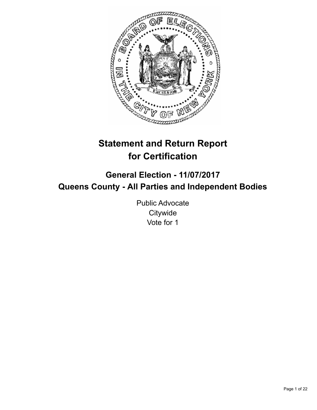

# **Statement and Return Report for Certification**

## **General Election - 11/07/2017 Queens County - All Parties and Independent Bodies**

Public Advocate **Citywide** Vote for 1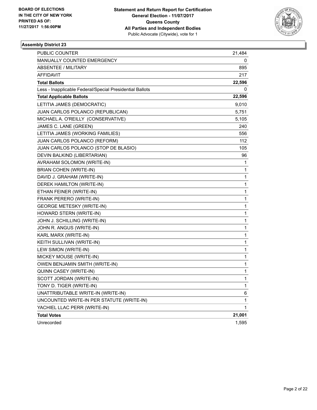

| PUBLIC COUNTER                                           | 21,484 |
|----------------------------------------------------------|--------|
| MANUALLY COUNTED EMERGENCY                               | 0      |
| <b>ABSENTEE / MILITARY</b>                               | 895    |
| <b>AFFIDAVIT</b>                                         | 217    |
| <b>Total Ballots</b>                                     | 22,596 |
| Less - Inapplicable Federal/Special Presidential Ballots | 0      |
| <b>Total Applicable Ballots</b>                          | 22,596 |
| LETITIA JAMES (DEMOCRATIC)                               | 9,010  |
| JUAN CARLOS POLANCO (REPUBLICAN)                         | 5,751  |
| MICHAEL A. O'REILLY (CONSERVATIVE)                       | 5,105  |
| JAMES C. LANE (GREEN)                                    | 240    |
| LETITIA JAMES (WORKING FAMILIES)                         | 556    |
| JUAN CARLOS POLANCO (REFORM)                             | 112    |
| JUAN CARLOS POLANCO (STOP DE BLASIO)                     | 105    |
| DEVIN BALKIND (LIBERTARIAN)                              | 96     |
| AVRAHAM SOLOMON (WRITE-IN)                               | 1      |
| <b>BRIAN COHEN (WRITE-IN)</b>                            | 1      |
| DAVID J. GRAHAM (WRITE-IN)                               | 1      |
| DEREK HAMILTON (WRITE-IN)                                | 1      |
| ETHAN FEINER (WRITE-IN)                                  | 1      |
| FRANK PERERO (WRITE-IN)                                  | 1      |
| <b>GEORGE METESKY (WRITE-IN)</b>                         | 1      |
| HOWARD STERN (WRITE-IN)                                  | 1      |
| JOHN J. SCHILLING (WRITE-IN)                             | 1      |
| JOHN R. ANGUS (WRITE-IN)                                 | 1      |
| KARL MARX (WRITE-IN)                                     | 1      |
| KEITH SULLIVAN (WRITE-IN)                                | 1      |
| LEW SIMON (WRITE-IN)                                     | 1      |
| MICKEY MOUSE (WRITE-IN)                                  | 1      |
| OWEN BENJAMIN SMITH (WRITE-IN)                           | 1      |
| QUINN CASEY (WRITE-IN)                                   | 1      |
| SCOTT JORDAN (WRITE-IN)                                  | 1      |
| TONY D. TIGER (WRITE-IN)                                 | 1      |
| UNATTRIBUTABLE WRITE-IN (WRITE-IN)                       | 6      |
| UNCOUNTED WRITE-IN PER STATUTE (WRITE-IN)                | 1      |
| YACHIEL LLAC PERR (WRITE-IN)                             | 1      |
| <b>Total Votes</b>                                       | 21,001 |
| Unrecorded                                               | 1,595  |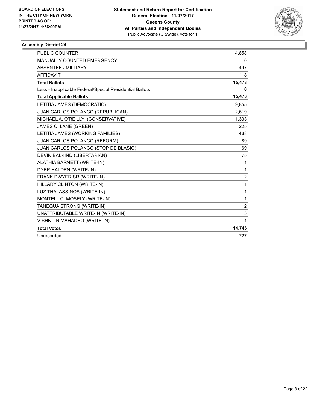

| <b>PUBLIC COUNTER</b>                                    | 14,858         |
|----------------------------------------------------------|----------------|
| MANUALLY COUNTED EMERGENCY                               | 0              |
| <b>ABSENTEE / MILITARY</b>                               | 497            |
| <b>AFFIDAVIT</b>                                         | 118            |
| <b>Total Ballots</b>                                     | 15,473         |
| Less - Inapplicable Federal/Special Presidential Ballots | 0              |
| <b>Total Applicable Ballots</b>                          | 15,473         |
| LETITIA JAMES (DEMOCRATIC)                               | 9,855          |
| JUAN CARLOS POLANCO (REPUBLICAN)                         | 2,619          |
| MICHAEL A. O'REILLY (CONSERVATIVE)                       | 1,333          |
| JAMES C. LANE (GREEN)                                    | 225            |
| LETITIA JAMES (WORKING FAMILIES)                         | 468            |
| JUAN CARLOS POLANCO (REFORM)                             | 89             |
| JUAN CARLOS POLANCO (STOP DE BLASIO)                     | 69             |
| DEVIN BALKIND (LIBERTARIAN)                              | 75             |
| ALATHIA BARNETT (WRITE-IN)                               | 1              |
| DYER HALDEN (WRITE-IN)                                   | $\mathbf{1}$   |
| FRANK DWYER SR (WRITE-IN)                                | $\overline{2}$ |
| HILLARY CLINTON (WRITE-IN)                               | $\mathbf{1}$   |
| LUZ THALASSINOS (WRITE-IN)                               | $\mathbf{1}$   |
| MONTELL C. MOSELY (WRITE-IN)                             | $\mathbf{1}$   |
| TANEQUA STRONG (WRITE-IN)                                | $\overline{2}$ |
| UNATTRIBUTABLE WRITE-IN (WRITE-IN)                       | 3              |
| VISHNU R MAHADEO (WRITE-IN)                              | $\mathbf 1$    |
| <b>Total Votes</b>                                       | 14,746         |
| Unrecorded                                               | 727            |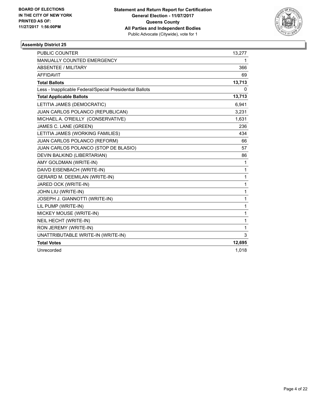

| <b>PUBLIC COUNTER</b>                                    | 13,277   |
|----------------------------------------------------------|----------|
| <b>MANUALLY COUNTED EMERGENCY</b>                        | 1        |
| <b>ABSENTEE / MILITARY</b>                               | 366      |
| <b>AFFIDAVIT</b>                                         | 69       |
| <b>Total Ballots</b>                                     | 13,713   |
| Less - Inapplicable Federal/Special Presidential Ballots | $\Omega$ |
| <b>Total Applicable Ballots</b>                          | 13,713   |
| LETITIA JAMES (DEMOCRATIC)                               | 6,941    |
| JUAN CARLOS POLANCO (REPUBLICAN)                         | 3,231    |
| MICHAEL A. O'REILLY (CONSERVATIVE)                       | 1,631    |
| JAMES C. LANE (GREEN)                                    | 236      |
| LETITIA JAMES (WORKING FAMILIES)                         | 434      |
| JUAN CARLOS POLANCO (REFORM)                             | 66       |
| JUAN CARLOS POLANCO (STOP DE BLASIO)                     | 57       |
| DEVIN BALKIND (LIBERTARIAN)                              | 86       |
| AMY GOLDMAN (WRITE-IN)                                   | 1        |
| DAIVD EISENBACH (WRITE-IN)                               | 1        |
| GERARD M. DEEMILAN (WRITE-IN)                            | 1        |
| JARED OCK (WRITE-IN)                                     | 1        |
| JOHN LIU (WRITE-IN)                                      | 1        |
| JOSEPH J. GIANNOTTI (WRITE-IN)                           | 1        |
| LIL PUMP (WRITE-IN)                                      | 1        |
| MICKEY MOUSE (WRITE-IN)                                  | 1        |
| NEIL HECHT (WRITE-IN)                                    | 1        |
| RON JEREMY (WRITE-IN)                                    | 1        |
| UNATTRIBUTABLE WRITE-IN (WRITE-IN)                       | 3        |
| <b>Total Votes</b>                                       | 12,695   |
| Unrecorded                                               | 1,018    |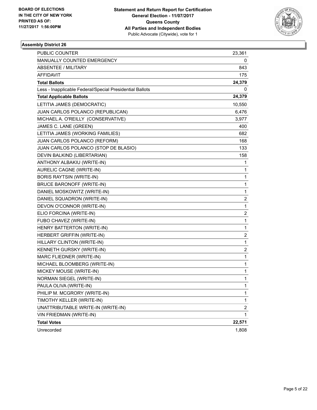

| PUBLIC COUNTER                                           | 23,361                  |
|----------------------------------------------------------|-------------------------|
| MANUALLY COUNTED EMERGENCY                               | 0                       |
| <b>ABSENTEE / MILITARY</b>                               | 843                     |
| AFFIDAVIT                                                | 175                     |
| <b>Total Ballots</b>                                     | 24,379                  |
| Less - Inapplicable Federal/Special Presidential Ballots | 0                       |
| <b>Total Applicable Ballots</b>                          | 24,379                  |
| LETITIA JAMES (DEMOCRATIC)                               | 10,550                  |
| JUAN CARLOS POLANCO (REPUBLICAN)                         | 6,476                   |
| MICHAEL A. O'REILLY (CONSERVATIVE)                       | 3,977                   |
| JAMES C. LANE (GREEN)                                    | 400                     |
| LETITIA JAMES (WORKING FAMILIES)                         | 682                     |
| JUAN CARLOS POLANCO (REFORM)                             | 168                     |
| JUAN CARLOS POLANCO (STOP DE BLASIO)                     | 133                     |
| DEVIN BALKIND (LIBERTARIAN)                              | 158                     |
| ANTHONY ALBAKIU (WRITE-IN)                               | 1                       |
| AURELIC CAGNE (WRITE-IN)                                 | 1                       |
| <b>BORIS RAYTSIN (WRITE-IN)</b>                          | 1                       |
| <b>BRUCE BARONOFF (WRITE-IN)</b>                         | 1                       |
| DANIEL MOSKOWITZ (WRITE-IN)                              | 1                       |
| DANIEL SQUADRON (WRITE-IN)                               | $\overline{\mathbf{c}}$ |
| DEVON O'CONNOR (WRITE-IN)                                | $\mathbf 1$             |
| ELIO FORCINA (WRITE-IN)                                  | 2                       |
| FUBO CHAVEZ (WRITE-IN)                                   | 1                       |
| HENRY BATTERTON (WRITE-IN)                               | 1                       |
| HERBERT GRIFFIN (WRITE-IN)                               | 2                       |
| HILLARY CLINTON (WRITE-IN)                               | $\mathbf 1$             |
| KENNETH GURSKY (WRITE-IN)                                | $\overline{\mathbf{c}}$ |
| MARC FLIEDNER (WRITE-IN)                                 | 1                       |
| MICHAEL BLOOMBERG (WRITE-IN)                             | 1                       |
| MICKEY MOUSE (WRITE-IN)                                  | 1                       |
| NORMAN SIEGEL (WRITE-IN)                                 | $\mathbf{1}$            |
| PAULA OLIVA (WRITE-IN)                                   | 1                       |
| PHILIP M. MCGRORY (WRITE-IN)                             | 1                       |
| TIMOTHY KELLER (WRITE-IN)                                | 1                       |
| UNATTRIBUTABLE WRITE-IN (WRITE-IN)                       | 2                       |
| VIN FRIEDMAN (WRITE-IN)                                  | 1                       |
| <b>Total Votes</b>                                       | 22,571                  |
| Unrecorded                                               | 1,808                   |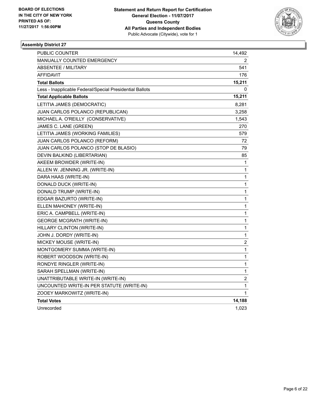

| PUBLIC COUNTER                                           | 14,492                  |
|----------------------------------------------------------|-------------------------|
| <b>MANUALLY COUNTED EMERGENCY</b>                        | 2                       |
| <b>ABSENTEE / MILITARY</b>                               | 541                     |
| <b>AFFIDAVIT</b>                                         | 176                     |
| <b>Total Ballots</b>                                     | 15,211                  |
| Less - Inapplicable Federal/Special Presidential Ballots | 0                       |
| <b>Total Applicable Ballots</b>                          | 15,211                  |
| LETITIA JAMES (DEMOCRATIC)                               | 8,281                   |
| JUAN CARLOS POLANCO (REPUBLICAN)                         | 3,258                   |
| MICHAEL A. O'REILLY (CONSERVATIVE)                       | 1,543                   |
| JAMES C. LANE (GREEN)                                    | 270                     |
| LETITIA JAMES (WORKING FAMILIES)                         | 579                     |
| JUAN CARLOS POLANCO (REFORM)                             | 72                      |
| JUAN CARLOS POLANCO (STOP DE BLASIO)                     | 79                      |
| DEVIN BALKIND (LIBERTARIAN)                              | 85                      |
| AKEEM BROWDER (WRITE-IN)                                 | 1                       |
| ALLEN W. JENNING JR. (WRITE-IN)                          | 1                       |
| DARA HAAS (WRITE-IN)                                     | 1                       |
| DONALD DUCK (WRITE-IN)                                   | 1                       |
| DONALD TRUMP (WRITE-IN)                                  | 1                       |
| EDGAR BAZURTO (WRITE-IN)                                 | 1                       |
| ELLEN MAHONEY (WRITE-IN)                                 | 1                       |
| ERIC A. CAMPBELL (WRITE-IN)                              | 1                       |
| <b>GEORGE MCGRATH (WRITE-IN)</b>                         | 1                       |
| HILLARY CLINTON (WRITE-IN)                               | 1                       |
| JOHN J. DORDY (WRITE-IN)                                 | 1                       |
| MICKEY MOUSE (WRITE-IN)                                  | $\overline{\mathbf{c}}$ |
| MONTGOMERY SUMMA (WRITE-IN)                              | 1                       |
| ROBERT WOODSON (WRITE-IN)                                | 1                       |
| RONDYE RINGLER (WRITE-IN)                                | 1                       |
| SARAH SPELLMAN (WRITE-IN)                                | 1                       |
| UNATTRIBUTABLE WRITE-IN (WRITE-IN)                       | 2                       |
| UNCOUNTED WRITE-IN PER STATUTE (WRITE-IN)                | 1                       |
| ZOOEY MARKOWITZ (WRITE-IN)                               | 1                       |
| <b>Total Votes</b>                                       | 14,188                  |
| Unrecorded                                               | 1,023                   |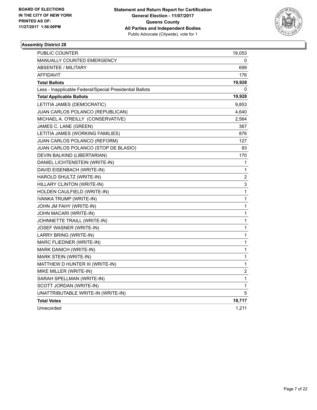

| PUBLIC COUNTER                                           | 19,053                  |
|----------------------------------------------------------|-------------------------|
| <b>MANUALLY COUNTED EMERGENCY</b>                        | 0                       |
| <b>ABSENTEE / MILITARY</b>                               | 699                     |
| <b>AFFIDAVIT</b>                                         | 176                     |
| <b>Total Ballots</b>                                     | 19,928                  |
| Less - Inapplicable Federal/Special Presidential Ballots | 0                       |
| <b>Total Applicable Ballots</b>                          | 19,928                  |
| LETITIA JAMES (DEMOCRATIC)                               | 9,853                   |
| JUAN CARLOS POLANCO (REPUBLICAN)                         | 4,640                   |
| MICHAEL A. O'REILLY (CONSERVATIVE)                       | 2,564                   |
| JAMES C. LANE (GREEN)                                    | 367                     |
| LETITIA JAMES (WORKING FAMILIES)                         | 876                     |
| JUAN CARLOS POLANCO (REFORM)                             | 127                     |
| JUAN CARLOS POLANCO (STOP DE BLASIO)                     | 93                      |
| DEVIN BALKIND (LIBERTARIAN)                              | 170                     |
| DANIEL LICHTENSTEIN (WRITE-IN)                           | 1                       |
| DAVID EISENBACH (WRITE-IN)                               | 1                       |
| HAROLD SHULTZ (WRITE-IN)                                 | $\overline{\mathbf{c}}$ |
| HILLARY CLINTON (WRITE-IN)                               | 3                       |
| HOLDEN CAULFIELD (WRITE-IN)                              | 1                       |
| IVANKA TRUMP (WRITE-IN)                                  | 1                       |
| JOHN JM FAHY (WRITE-IN)                                  | 1                       |
| JOHN MACARI (WRITE-IN)                                   | 1                       |
| JOHNNETTE TRAILL (WRITE-IN)                              | 1                       |
| JOSEF WASNER (WRITE-IN)                                  | 1                       |
| LARRY BRING (WRITE-IN)                                   | 1                       |
| MARC FLIEDNER (WRITE-IN)                                 | 1                       |
| MARK DANICH (WRITE-IN)                                   | $\mathbf{1}$            |
| MARK STEIN (WRITE-IN)                                    | 1                       |
| MATTHEW D HUNTER III (WRITE-IN)                          | 1                       |
| MIKE MILLER (WRITE-IN)                                   | 2                       |
| SARAH SPELLMAN (WRITE-IN)                                | 1                       |
| SCOTT JORDAN (WRITE-IN)                                  | 1                       |
| UNATTRIBUTABLE WRITE-IN (WRITE-IN)                       | 5                       |
| <b>Total Votes</b>                                       | 18,717                  |
| Unrecorded                                               | 1,211                   |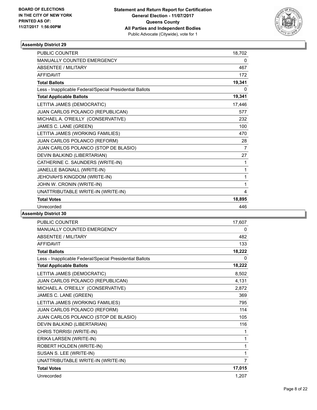

| <b>PUBLIC COUNTER</b>                                    | 18,702 |
|----------------------------------------------------------|--------|
| <b>MANUALLY COUNTED EMERGENCY</b>                        | 0      |
| <b>ABSENTEE / MILITARY</b>                               | 467    |
| <b>AFFIDAVIT</b>                                         | 172    |
| <b>Total Ballots</b>                                     | 19,341 |
| Less - Inapplicable Federal/Special Presidential Ballots | 0      |
| <b>Total Applicable Ballots</b>                          | 19,341 |
| LETITIA JAMES (DEMOCRATIC)                               | 17,446 |
| JUAN CARLOS POLANCO (REPUBLICAN)                         | 577    |
| MICHAEL A. O'REILLY (CONSERVATIVE)                       | 232    |
| JAMES C. LANE (GREEN)                                    | 100    |
| LETITIA JAMES (WORKING FAMILIES)                         | 470    |
| JUAN CARLOS POLANCO (REFORM)                             | 28     |
| JUAN CARLOS POLANCO (STOP DE BLASIO)                     | 7      |
| DEVIN BALKIND (LIBERTARIAN)                              | 27     |
| CATHERINE C. SAUNDERS (WRITE-IN)                         | 1      |
| JANELLE BAGNALL (WRITE-IN)                               | 1      |
| JEHOVAH'S KINGDOM (WRITE-IN)                             | 1      |
| JOHN W. CRONIN (WRITE-IN)                                | 1      |
| UNATTRIBUTABLE WRITE-IN (WRITE-IN)                       | 4      |
| <b>Total Votes</b>                                       | 18,895 |
| Unrecorded                                               | 446    |
| <b>L.L. B.L.L.L.AA</b>                                   |        |

| <b>PUBLIC COUNTER</b>                                    | 17,607         |
|----------------------------------------------------------|----------------|
| MANUALLY COUNTED EMERGENCY                               | 0              |
| <b>ABSENTEE / MILITARY</b>                               | 482            |
| AFFIDAVIT                                                | 133            |
| <b>Total Ballots</b>                                     | 18,222         |
| Less - Inapplicable Federal/Special Presidential Ballots | 0              |
| <b>Total Applicable Ballots</b>                          | 18,222         |
| LETITIA JAMES (DEMOCRATIC)                               | 8,502          |
| JUAN CARLOS POLANCO (REPUBLICAN)                         | 4,131          |
| MICHAEL A. O'REILLY (CONSERVATIVE)                       | 2,872          |
| JAMES C. LANE (GREEN)                                    | 369            |
| LETITIA JAMES (WORKING FAMILIES)                         | 795            |
| JUAN CARLOS POLANCO (REFORM)                             | 114            |
| JUAN CARLOS POLANCO (STOP DE BLASIO)                     | 105            |
| DEVIN BALKIND (LIBERTARIAN)                              | 116            |
| CHRIS TORRISI (WRITE-IN)                                 | 1              |
| ERIKA LARSEN (WRITE-IN)                                  | 1              |
| ROBERT HOLDEN (WRITE-IN)                                 | $\mathbf{1}$   |
| SUSAN S. LEE (WRITE-IN)                                  | $\mathbf{1}$   |
| UNATTRIBUTABLE WRITE-IN (WRITE-IN)                       | $\overline{7}$ |
| <b>Total Votes</b>                                       | 17,015         |
| Unrecorded                                               | 1,207          |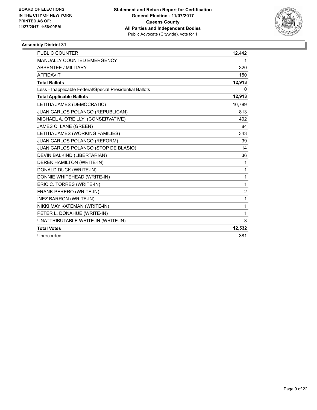

| <b>PUBLIC COUNTER</b>                                    | 12,442         |
|----------------------------------------------------------|----------------|
| <b>MANUALLY COUNTED EMERGENCY</b>                        | 1.             |
| <b>ABSENTEE / MILITARY</b>                               | 320            |
| <b>AFFIDAVIT</b>                                         | 150            |
| <b>Total Ballots</b>                                     | 12,913         |
| Less - Inapplicable Federal/Special Presidential Ballots | 0              |
| <b>Total Applicable Ballots</b>                          | 12,913         |
| LETITIA JAMES (DEMOCRATIC)                               | 10,789         |
| JUAN CARLOS POLANCO (REPUBLICAN)                         | 813            |
| MICHAEL A. O'REILLY (CONSERVATIVE)                       | 402            |
| JAMES C. LANE (GREEN)                                    | 84             |
| LETITIA JAMES (WORKING FAMILIES)                         | 343            |
| JUAN CARLOS POLANCO (REFORM)                             | 39             |
| JUAN CARLOS POLANCO (STOP DE BLASIO)                     | 14             |
| DEVIN BALKIND (LIBERTARIAN)                              | 36             |
| DEREK HAMILTON (WRITE-IN)                                | 1              |
| DONALD DUCK (WRITE-IN)                                   | 1              |
| DONNIE WHITEHEAD (WRITE-IN)                              | 1              |
| ERIC C. TORRES (WRITE-IN)                                | 1              |
| FRANK PERERO (WRITE-IN)                                  | $\overline{2}$ |
| <b>INEZ BARRON (WRITE-IN)</b>                            | 1              |
| NIKKI MAY KATEMAN (WRITE-IN)                             | 1              |
| PETER L. DONAHUE (WRITE-IN)                              | 1              |
| UNATTRIBUTABLE WRITE-IN (WRITE-IN)                       | 3              |
| <b>Total Votes</b>                                       | 12,532         |
| Unrecorded                                               | 381            |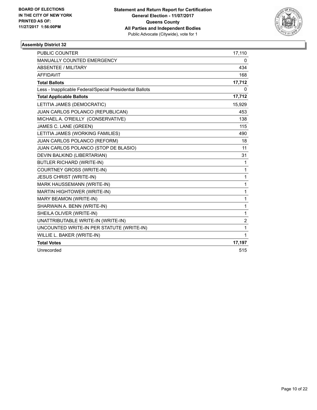

| <b>PUBLIC COUNTER</b>                                    | 17,110         |
|----------------------------------------------------------|----------------|
| <b>MANUALLY COUNTED EMERGENCY</b>                        | 0              |
| <b>ABSENTEE / MILITARY</b>                               | 434            |
| <b>AFFIDAVIT</b>                                         | 168            |
| <b>Total Ballots</b>                                     | 17,712         |
| Less - Inapplicable Federal/Special Presidential Ballots | 0              |
| <b>Total Applicable Ballots</b>                          | 17,712         |
| LETITIA JAMES (DEMOCRATIC)                               | 15,929         |
| JUAN CARLOS POLANCO (REPUBLICAN)                         | 453            |
| MICHAEL A. O'REILLY (CONSERVATIVE)                       | 138            |
| JAMES C. LANE (GREEN)                                    | 115            |
| LETITIA JAMES (WORKING FAMILIES)                         | 490            |
| JUAN CARLOS POLANCO (REFORM)                             | 18             |
| JUAN CARLOS POLANCO (STOP DE BLASIO)                     | 11             |
| DEVIN BALKIND (LIBERTARIAN)                              | 31             |
| <b>BUTLER RICHARD (WRITE-IN)</b>                         | 1              |
| COURTNEY GROSS (WRITE-IN)                                | 1              |
| <b>JESUS CHRIST (WRITE-IN)</b>                           | 1              |
| MARK HAUSSEMANN (WRITE-IN)                               | 1              |
| MARTIN HIGHTOWER (WRITE-IN)                              | 1              |
| MARY BEAMON (WRITE-IN)                                   | 1              |
| SHARWAIN A. BENN (WRITE-IN)                              | 1              |
| SHEILA OLIVER (WRITE-IN)                                 | 1              |
| UNATTRIBUTABLE WRITE-IN (WRITE-IN)                       | $\overline{2}$ |
| UNCOUNTED WRITE-IN PER STATUTE (WRITE-IN)                | 1              |
| WILLIE L. BAKER (WRITE-IN)                               | 1              |
| <b>Total Votes</b>                                       | 17,197         |
| Unrecorded                                               | 515            |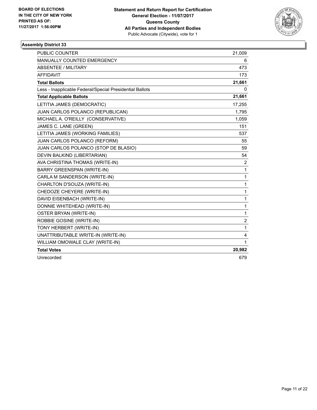

| <b>PUBLIC COUNTER</b>                                    | 21,009 |
|----------------------------------------------------------|--------|
| <b>MANUALLY COUNTED EMERGENCY</b>                        | 6      |
| ABSENTEE / MILITARY                                      | 473    |
| <b>AFFIDAVIT</b>                                         | 173    |
| <b>Total Ballots</b>                                     | 21,661 |
| Less - Inapplicable Federal/Special Presidential Ballots | 0      |
| <b>Total Applicable Ballots</b>                          | 21,661 |
| LETITIA JAMES (DEMOCRATIC)                               | 17,255 |
| JUAN CARLOS POLANCO (REPUBLICAN)                         | 1,795  |
| MICHAEL A. O'REILLY (CONSERVATIVE)                       | 1,059  |
| JAMES C. LANE (GREEN)                                    | 151    |
| LETITIA JAMES (WORKING FAMILIES)                         | 537    |
| JUAN CARLOS POLANCO (REFORM)                             | 55     |
| JUAN CARLOS POLANCO (STOP DE BLASIO)                     | 59     |
| DEVIN BALKIND (LIBERTARIAN)                              | 54     |
| AVA CHRISTINA THOMAS (WRITE-IN)                          | 2      |
| <b>BARRY GREENSPAN (WRITE-IN)</b>                        | 1      |
| CARLA M SANDERSON (WRITE-IN)                             | 1      |
| CHARLTON D'SOUZA (WRITE-IN)                              | 1      |
| CHEDOZE CHEYERE (WRITE-IN)                               | 1      |
| DAVID EISENBACH (WRITE-IN)                               | 1      |
| DONNIE WHITEHEAD (WRITE-IN)                              | 1      |
| OSTER BRYAN (WRITE-IN)                                   | 1      |
| ROBBIE GOSINE (WRITE-IN)                                 | 2      |
| TONY HERBERT (WRITE-IN)                                  | 1      |
| UNATTRIBUTABLE WRITE-IN (WRITE-IN)                       | 4      |
| WILLIAM OMOWALE CLAY (WRITE-IN)                          | 1      |
| <b>Total Votes</b>                                       | 20,982 |
| Unrecorded                                               | 679    |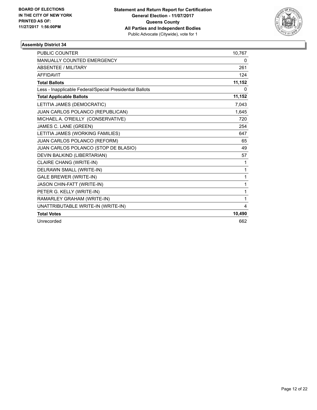

| <b>PUBLIC COUNTER</b>                                    | 10,767 |
|----------------------------------------------------------|--------|
| <b>MANUALLY COUNTED EMERGENCY</b>                        | 0      |
| <b>ABSENTEE / MILITARY</b>                               | 261    |
| <b>AFFIDAVIT</b>                                         | 124    |
| <b>Total Ballots</b>                                     | 11,152 |
| Less - Inapplicable Federal/Special Presidential Ballots | 0      |
| <b>Total Applicable Ballots</b>                          | 11,152 |
| LETITIA JAMES (DEMOCRATIC)                               | 7,043  |
| JUAN CARLOS POLANCO (REPUBLICAN)                         | 1,645  |
| MICHAEL A. O'REILLY (CONSERVATIVE)                       | 720    |
| JAMES C. LANE (GREEN)                                    | 254    |
| LETITIA JAMES (WORKING FAMILIES)                         | 647    |
| JUAN CARLOS POLANCO (REFORM)                             | 65     |
| JUAN CARLOS POLANCO (STOP DE BLASIO)                     | 49     |
| DEVIN BALKIND (LIBERTARIAN)                              | 57     |
| CLAIRE CHANG (WRITE-IN)                                  | 1      |
| DELRAWN SMALL (WRITE-IN)                                 | 1      |
| <b>GALE BREWER (WRITE-IN)</b>                            | 1      |
| JASON CHIN-FATT (WRITE-IN)                               | 1      |
| PETER G. KELLY (WRITE-IN)                                | 1      |
| RAMARLEY GRAHAM (WRITE-IN)                               | 1      |
| UNATTRIBUTABLE WRITE-IN (WRITE-IN)                       | 4      |
| <b>Total Votes</b>                                       | 10,490 |
| Unrecorded                                               | 662    |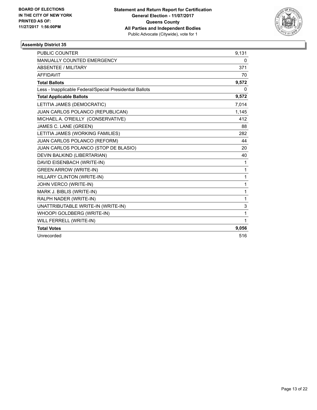

| <b>PUBLIC COUNTER</b>                                    | 9,131 |
|----------------------------------------------------------|-------|
| <b>MANUALLY COUNTED EMERGENCY</b>                        | 0     |
| <b>ABSENTEE / MILITARY</b>                               | 371   |
| <b>AFFIDAVIT</b>                                         | 70    |
| <b>Total Ballots</b>                                     | 9,572 |
| Less - Inapplicable Federal/Special Presidential Ballots | 0     |
| <b>Total Applicable Ballots</b>                          | 9,572 |
| LETITIA JAMES (DEMOCRATIC)                               | 7.014 |
| JUAN CARLOS POLANCO (REPUBLICAN)                         | 1,145 |
| MICHAEL A. O'REILLY (CONSERVATIVE)                       | 412   |
| JAMES C. LANE (GREEN)                                    | 88    |
| LETITIA JAMES (WORKING FAMILIES)                         | 282   |
| JUAN CARLOS POLANCO (REFORM)                             | 44    |
| JUAN CARLOS POLANCO (STOP DE BLASIO)                     | 20    |
| DEVIN BALKIND (LIBERTARIAN)                              | 40    |
| DAVID EISENBACH (WRITE-IN)                               | 1     |
| <b>GREEN ARROW (WRITE-IN)</b>                            | 1     |
| HILLARY CLINTON (WRITE-IN)                               | 1     |
| JOHN VERCO (WRITE-IN)                                    | 1     |
| MARK J. BIBLIS (WRITE-IN)                                | 1     |
| RALPH NADER (WRITE-IN)                                   | 1     |
| UNATTRIBUTABLE WRITE-IN (WRITE-IN)                       | 3     |
| WHOOPI GOLDBERG (WRITE-IN)                               | 1     |
| WILL FERRELL (WRITE-IN)                                  | 1     |
| <b>Total Votes</b>                                       | 9,056 |
| Unrecorded                                               | 516   |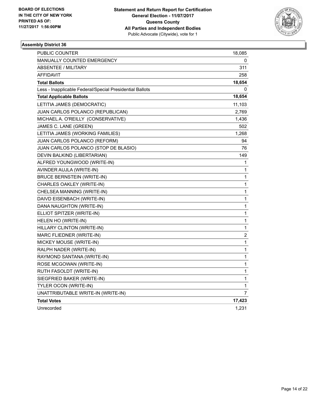

| PUBLIC COUNTER                                           | 18,085         |
|----------------------------------------------------------|----------------|
| <b>MANUALLY COUNTED EMERGENCY</b>                        | 0              |
| <b>ABSENTEE / MILITARY</b>                               | 311            |
| <b>AFFIDAVIT</b>                                         | 258            |
| <b>Total Ballots</b>                                     | 18,654         |
| Less - Inapplicable Federal/Special Presidential Ballots | 0              |
| <b>Total Applicable Ballots</b>                          | 18,654         |
| LETITIA JAMES (DEMOCRATIC)                               | 11,103         |
| JUAN CARLOS POLANCO (REPUBLICAN)                         | 2,769          |
| MICHAEL A. O'REILLY (CONSERVATIVE)                       | 1,436          |
| JAMES C. LANE (GREEN)                                    | 502            |
| LETITIA JAMES (WORKING FAMILIES)                         | 1,268          |
| JUAN CARLOS POLANCO (REFORM)                             | 94             |
| JUAN CARLOS POLANCO (STOP DE BLASIO)                     | 76             |
| DEVIN BALKIND (LIBERTARIAN)                              | 149            |
| ALFRED YOUNGWOOD (WRITE-IN)                              | 1              |
| AVINDER AUJLA (WRITE-IN)                                 | 1              |
| <b>BRUCE BERNSTEIN (WRITE-IN)</b>                        | 1              |
| CHARLES OAKLEY (WRITE-IN)                                | 1              |
| CHELSEA MANNING (WRITE-IN)                               | 1              |
| DAIVD EISENBACH (WRITE-IN)                               | 1              |
| DANA NAUGHTON (WRITE-IN)                                 | 1              |
| ELLIOT SPITZER (WRITE-IN)                                | 1              |
| HELEN HO (WRITE-IN)                                      | 1              |
| HILLARY CLINTON (WRITE-IN)                               | 1              |
| MARC FLIEDNER (WRITE-IN)                                 | 2              |
| MICKEY MOUSE (WRITE-IN)                                  | $\mathbf 1$    |
| RALPH NADER (WRITE-IN)                                   | $\mathbf{1}$   |
| RAYMOND SANTANA (WRITE-IN)                               | 1              |
| ROSE MCGOWAN (WRITE-IN)                                  | 1              |
| RUTH FASOLDT (WRITE-IN)                                  | 1              |
| SIEGFRIED BAKER (WRITE-IN)                               | 1              |
| TYLER OCON (WRITE-IN)                                    | 1              |
| UNATTRIBUTABLE WRITE-IN (WRITE-IN)                       | $\overline{7}$ |
| <b>Total Votes</b>                                       | 17,423         |
| Unrecorded                                               | 1,231          |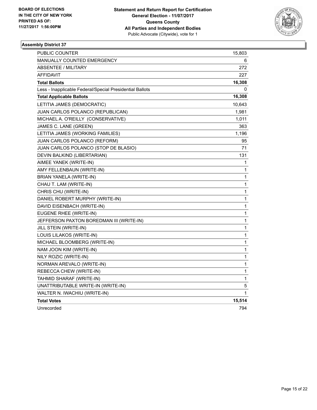

| <b>PUBLIC COUNTER</b>                                    | 15,803      |
|----------------------------------------------------------|-------------|
| <b>MANUALLY COUNTED EMERGENCY</b>                        | 6           |
| <b>ABSENTEE / MILITARY</b>                               | 272         |
| <b>AFFIDAVIT</b>                                         | 227         |
| <b>Total Ballots</b>                                     | 16,308      |
| Less - Inapplicable Federal/Special Presidential Ballots | 0           |
| <b>Total Applicable Ballots</b>                          | 16,308      |
| LETITIA JAMES (DEMOCRATIC)                               | 10,643      |
| JUAN CARLOS POLANCO (REPUBLICAN)                         | 1,981       |
| MICHAEL A. O'REILLY (CONSERVATIVE)                       | 1,011       |
| JAMES C. LANE (GREEN)                                    | 363         |
| LETITIA JAMES (WORKING FAMILIES)                         | 1,196       |
| JUAN CARLOS POLANCO (REFORM)                             | 95          |
| JUAN CARLOS POLANCO (STOP DE BLASIO)                     | 71          |
| DEVIN BALKIND (LIBERTARIAN)                              | 131         |
| AIMEE YANEK (WRITE-IN)                                   | 1           |
| AMY FELLENBAUN (WRITE-IN)                                | 1           |
| BRIAN YANELA (WRITE-IN)                                  | 1           |
| CHAU T. LAM (WRITE-IN)                                   | 1           |
| CHRIS CHU (WRITE-IN)                                     | 1           |
| DANIEL ROBERT MURPHY (WRITE-IN)                          | 1           |
| DAVID EISENBACH (WRITE-IN)                               | 1           |
| EUGENE RHEE (WRITE-IN)                                   | $\mathbf 1$ |
| JEFFERSON PAXTON BOREDMAN III (WRITE-IN)                 | 1           |
| JILL STEIN (WRITE-IN)                                    | 1           |
| LOUIS LILAKOS (WRITE-IN)                                 | 1           |
| MICHAEL BLOOMBERG (WRITE-IN)                             | 1           |
| NAM JOON KIM (WRITE-IN)                                  | 1           |
| NILY ROZIC (WRITE-IN)                                    | $\mathbf 1$ |
| NORMAN AREVALO (WRITE-IN)                                | 1           |
| REBECCA CHEW (WRITE-IN)                                  | 1           |
| TAHMID SHARAF (WRITE-IN)                                 | 1           |
| UNATTRIBUTABLE WRITE-IN (WRITE-IN)                       | 5           |
| WALTER N. IWACHIU (WRITE-IN)                             | 1           |
| <b>Total Votes</b>                                       | 15,514      |
| Unrecorded                                               | 794         |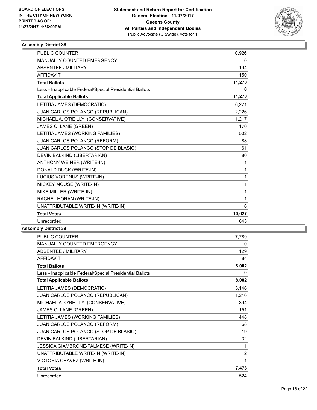

| PUBLIC COUNTER                                           | 10,926 |
|----------------------------------------------------------|--------|
| MANUALLY COUNTED EMERGENCY                               | 0      |
| <b>ABSENTEE / MILITARY</b>                               | 194    |
| <b>AFFIDAVIT</b>                                         | 150    |
| <b>Total Ballots</b>                                     | 11,270 |
| Less - Inapplicable Federal/Special Presidential Ballots | 0      |
| <b>Total Applicable Ballots</b>                          | 11,270 |
| LETITIA JAMES (DEMOCRATIC)                               | 6,271  |
| JUAN CARLOS POLANCO (REPUBLICAN)                         | 2,226  |
| MICHAEL A. O'REILLY (CONSERVATIVE)                       | 1,217  |
| JAMES C. LANE (GREEN)                                    | 170    |
| LETITIA JAMES (WORKING FAMILIES)                         | 502    |
| JUAN CARLOS POLANCO (REFORM)                             | 88     |
| JUAN CARLOS POLANCO (STOP DE BLASIO)                     | 61     |
| DEVIN BALKIND (LIBERTARIAN)                              | 80     |
| ANTHONY WEINER (WRITE-IN)                                | 1      |
| DONALD DUCK (WRITE-IN)                                   | 1      |
| LUCIUS VORENUS (WRITE-IN)                                | 1      |
| MICKEY MOUSE (WRITE-IN)                                  | 1      |
| MIKE MILLER (WRITE-IN)                                   | 1      |
| RACHEL HORAN (WRITE-IN)                                  | 1      |
| UNATTRIBUTABLE WRITE-IN (WRITE-IN)                       | 6      |
| <b>Total Votes</b>                                       | 10,627 |
| Unrecorded                                               | 643    |

| PUBLIC COUNTER                                           | 7,789          |
|----------------------------------------------------------|----------------|
| MANUALLY COUNTED EMERGENCY                               | 0              |
| ABSENTEE / MILITARY                                      | 129            |
| <b>AFFIDAVIT</b>                                         | 84             |
| <b>Total Ballots</b>                                     | 8,002          |
| Less - Inapplicable Federal/Special Presidential Ballots | 0              |
| <b>Total Applicable Ballots</b>                          | 8,002          |
| LETITIA JAMES (DEMOCRATIC)                               | 5,146          |
| JUAN CARLOS POLANCO (REPUBLICAN)                         | 1,216          |
| MICHAEL A. O'REILLY (CONSERVATIVE)                       | 394            |
| JAMES C. LANE (GREEN)                                    | 151            |
| LETITIA JAMES (WORKING FAMILIES)                         | 448            |
| JUAN CARLOS POLANCO (REFORM)                             | 68             |
| JUAN CARLOS POLANCO (STOP DE BLASIO)                     | 19             |
| DEVIN BALKIND (LIBERTARIAN)                              | 32             |
| JESSICA GIAMBRONE-PALMESE (WRITE-IN)                     | 1              |
| UNATTRIBUTABLE WRITE-IN (WRITE-IN)                       | $\overline{2}$ |
| VICTORIA CHAVEZ (WRITE-IN)                               | 1              |
| <b>Total Votes</b>                                       | 7,478          |
| Unrecorded                                               | 524            |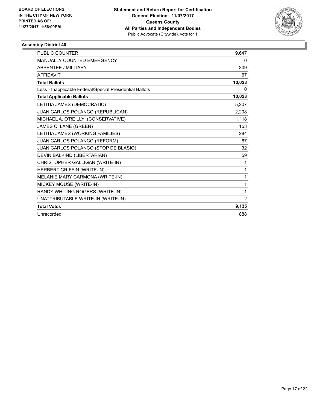

| <b>PUBLIC COUNTER</b>                                    | 9.647  |
|----------------------------------------------------------|--------|
| MANUALLY COUNTED EMERGENCY                               | 0      |
| <b>ABSENTEE / MILITARY</b>                               | 309    |
| <b>AFFIDAVIT</b>                                         | 67     |
| <b>Total Ballots</b>                                     | 10,023 |
| Less - Inapplicable Federal/Special Presidential Ballots | 0      |
| <b>Total Applicable Ballots</b>                          | 10,023 |
| LETITIA JAMES (DEMOCRATIC)                               | 5,207  |
| JUAN CARLOS POLANCO (REPUBLICAN)                         | 2,208  |
| MICHAEL A. O'REILLY (CONSERVATIVE)                       | 1,118  |
| JAMES C. LANE (GREEN)                                    | 153    |
| LETITIA JAMES (WORKING FAMILIES)                         | 284    |
| JUAN CARLOS POLANCO (REFORM)                             | 67     |
| JUAN CARLOS POLANCO (STOP DE BLASIO)                     | 32     |
| DEVIN BALKIND (LIBERTARIAN)                              | 59     |
| CHRISTOPHER GALLIGAN (WRITE-IN)                          | 1      |
| HERBERT GRIFFIN (WRITE-IN)                               | 1      |
| MELANIE MARY CARMONA (WRITE-IN)                          | 1      |
| MICKEY MOUSE (WRITE-IN)                                  | 1      |
| RANDY WHITING ROGERS (WRITE-IN)                          | 1      |
| UNATTRIBUTABLE WRITE-IN (WRITE-IN)                       | 2      |
| <b>Total Votes</b>                                       | 9,135  |
| Unrecorded                                               | 888    |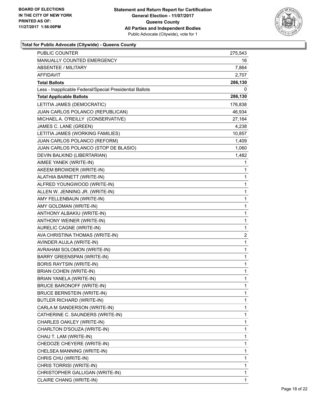

| <b>PUBLIC COUNTER</b>                                    | 275,543      |
|----------------------------------------------------------|--------------|
| MANUALLY COUNTED EMERGENCY                               | 16           |
| <b>ABSENTEE / MILITARY</b>                               | 7,864        |
| AFFIDAVIT                                                | 2,707        |
| <b>Total Ballots</b>                                     | 286,130      |
| Less - Inapplicable Federal/Special Presidential Ballots | 0            |
| <b>Total Applicable Ballots</b>                          | 286,130      |
| LETITIA JAMES (DEMOCRATIC)                               | 176,838      |
| JUAN CARLOS POLANCO (REPUBLICAN)                         | 46,934       |
| MICHAEL A. O'REILLY (CONSERVATIVE)                       | 27,164       |
| JAMES C. LANE (GREEN)                                    | 4,238        |
| LETITIA JAMES (WORKING FAMILIES)                         | 10,857       |
| JUAN CARLOS POLANCO (REFORM)                             | 1,409        |
| JUAN CARLOS POLANCO (STOP DE BLASIO)                     | 1,060        |
| DEVIN BALKIND (LIBERTARIAN)                              | 1,482        |
| AIMEE YANEK (WRITE-IN)                                   | 1            |
| AKEEM BROWDER (WRITE-IN)                                 | 1            |
| ALATHIA BARNETT (WRITE-IN)                               | 1            |
| ALFRED YOUNGWOOD (WRITE-IN)                              | 1            |
| ALLEN W. JENNING JR. (WRITE-IN)                          | 1            |
| AMY FELLENBAUN (WRITE-IN)                                | 1            |
| AMY GOLDMAN (WRITE-IN)                                   | 1            |
| ANTHONY ALBAKIU (WRITE-IN)                               | 1            |
| ANTHONY WEINER (WRITE-IN)                                | 1            |
| AURELIC CAGNE (WRITE-IN)                                 | 1            |
| AVA CHRISTINA THOMAS (WRITE-IN)                          | 2            |
| AVINDER AUJLA (WRITE-IN)                                 | $\mathbf{1}$ |
| AVRAHAM SOLOMON (WRITE-IN)                               | 1            |
| BARRY GREENSPAN (WRITE-IN)                               | 1            |
| <b>BORIS RAYTSIN (WRITE-IN)</b>                          | 1            |
| <b>BRIAN COHEN (WRITE-IN)</b>                            | 1            |
| BRIAN YANELA (WRITE-IN)                                  | 1            |
| BRUCE BARONOFF (WRITE-IN)                                | 1            |
| <b>BRUCE BERNSTEIN (WRITE-IN)</b>                        | 1            |
| BUTLER RICHARD (WRITE-IN)                                | 1            |
| CARLA M SANDERSON (WRITE-IN)                             | 1            |
| CATHERINE C. SAUNDERS (WRITE-IN)                         | 1            |
| CHARLES OAKLEY (WRITE-IN)                                | 1            |
| CHARLTON D'SOUZA (WRITE-IN)                              | 1            |
| CHAU T. LAM (WRITE-IN)                                   | 1            |
| CHEDOZE CHEYERE (WRITE-IN)                               | 1            |
| CHELSEA MANNING (WRITE-IN)                               | 1            |
| CHRIS CHU (WRITE-IN)                                     | 1            |
| CHRIS TORRISI (WRITE-IN)                                 | 1            |
| CHRISTOPHER GALLIGAN (WRITE-IN)                          | 1            |
| CLAIRE CHANG (WRITE-IN)                                  | 1            |
|                                                          |              |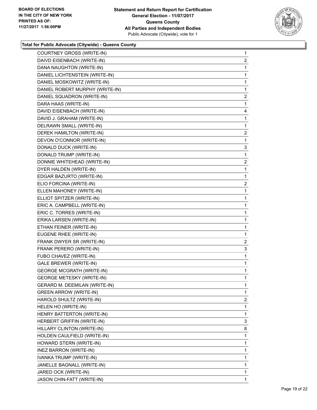

| COURTNEY GROSS (WRITE-IN)        | 1            |
|----------------------------------|--------------|
| DAIVD EISENBACH (WRITE-IN)       | 2            |
| DANA NAUGHTON (WRITE-IN)         | 1            |
| DANIEL LICHTENSTEIN (WRITE-IN)   | $\mathbf{1}$ |
| DANIEL MOSKOWITZ (WRITE-IN)      | 1            |
| DANIEL ROBERT MURPHY (WRITE-IN)  | 1            |
| DANIEL SQUADRON (WRITE-IN)       | 2            |
| DARA HAAS (WRITE-IN)             | $\mathbf{1}$ |
| DAVID EISENBACH (WRITE-IN)       | 4            |
| DAVID J. GRAHAM (WRITE-IN)       | 1            |
| DELRAWN SMALL (WRITE-IN)         | 1            |
| DEREK HAMILTON (WRITE-IN)        | 2            |
| DEVON O'CONNOR (WRITE-IN)        | $\mathbf 1$  |
| DONALD DUCK (WRITE-IN)           | 3            |
| DONALD TRUMP (WRITE-IN)          | 1            |
| DONNIE WHITEHEAD (WRITE-IN)      | 2            |
| DYER HALDEN (WRITE-IN)           | $\mathbf{1}$ |
| EDGAR BAZURTO (WRITE-IN)         | 1            |
| ELIO FORCINA (WRITE-IN)          | 2            |
| ELLEN MAHONEY (WRITE-IN)         | $\mathbf{1}$ |
| ELLIOT SPITZER (WRITE-IN)        | 1            |
| ERIC A. CAMPBELL (WRITE-IN)      | $\mathbf{1}$ |
| ERIC C. TORRES (WRITE-IN)        | 1            |
| ERIKA LARSEN (WRITE-IN)          | 1            |
| ETHAN FEINER (WRITE-IN)          | $\mathbf{1}$ |
| EUGENE RHEE (WRITE-IN)           | 1            |
| FRANK DWYER SR (WRITE-IN)        | 2            |
| FRANK PERERO (WRITE-IN)          | 3            |
| FUBO CHAVEZ (WRITE-IN)           | 1            |
| <b>GALE BREWER (WRITE-IN)</b>    | 1            |
| <b>GEORGE MCGRATH (WRITE-IN)</b> | $\mathbf{1}$ |
| <b>GEORGE METESKY (WRITE-IN)</b> | 1            |
| GERARD M. DEEMILAN (WRITE-IN)    | 1            |
| <b>GREEN ARROW (WRITE-IN)</b>    | $\mathbf{1}$ |
| HAROLD SHULTZ (WRITE-IN)         | 2            |
| HELEN HO (WRITE-IN)              | 1            |
| HENRY BATTERTON (WRITE-IN)       | $\mathbf{1}$ |
| HERBERT GRIFFIN (WRITE-IN)       | 3            |
| HILLARY CLINTON (WRITE-IN)       | 8            |
| HOLDEN CAULFIELD (WRITE-IN)      | 1            |
| HOWARD STERN (WRITE-IN)          | 1            |
| INEZ BARRON (WRITE-IN)           | 1            |
| IVANKA TRUMP (WRITE-IN)          | $\mathbf{1}$ |
| JANELLE BAGNALL (WRITE-IN)       | 1            |
| JARED OCK (WRITE-IN)             | 1            |
| JASON CHIN-FATT (WRITE-IN)       | 1            |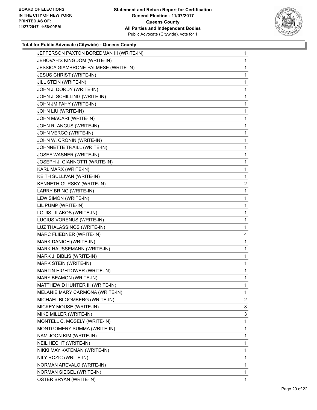

| JEFFERSON PAXTON BOREDMAN III (WRITE-IN) | $\mathbf{1}$ |
|------------------------------------------|--------------|
| JEHOVAH'S KINGDOM (WRITE-IN)             | $\mathbf{1}$ |
| JESSICA GIAMBRONE-PALMESE (WRITE-IN)     | 1            |
| <b>JESUS CHRIST (WRITE-IN)</b>           | 1            |
| JILL STEIN (WRITE-IN)                    | 1            |
| JOHN J. DORDY (WRITE-IN)                 | 1            |
| JOHN J. SCHILLING (WRITE-IN)             | 1            |
| JOHN JM FAHY (WRITE-IN)                  | 1            |
| JOHN LIU (WRITE-IN)                      | 1            |
| JOHN MACARI (WRITE-IN)                   | 1            |
| JOHN R. ANGUS (WRITE-IN)                 | 1            |
| JOHN VERCO (WRITE-IN)                    | 1            |
| JOHN W. CRONIN (WRITE-IN)                | 1            |
| JOHNNETTE TRAILL (WRITE-IN)              | 1            |
| JOSEF WASNER (WRITE-IN)                  | 1            |
| JOSEPH J. GIANNOTTI (WRITE-IN)           | 1            |
| KARL MARX (WRITE-IN)                     | 1            |
| KEITH SULLIVAN (WRITE-IN)                | 1            |
| KENNETH GURSKY (WRITE-IN)                | 2            |
| LARRY BRING (WRITE-IN)                   | 1            |
| LEW SIMON (WRITE-IN)                     | 1            |
| LIL PUMP (WRITE-IN)                      | 1            |
| LOUIS LILAKOS (WRITE-IN)                 | 1            |
| LUCIUS VORENUS (WRITE-IN)                | 1            |
| LUZ THALASSINOS (WRITE-IN)               | 1            |
| MARC FLIEDNER (WRITE-IN)                 | 4            |
| MARK DANICH (WRITE-IN)                   | 1            |
| MARK HAUSSEMANN (WRITE-IN)               | 1            |
| MARK J. BIBLIS (WRITE-IN)                | 1            |
| MARK STEIN (WRITE-IN)                    | $\mathbf{1}$ |
| MARTIN HIGHTOWER (WRITE-IN)              | 1            |
| MARY BEAMON (WRITE-IN)                   | 1            |
| MATTHEW D HUNTER III (WRITE-IN)          | 1            |
| MELANIE MARY CARMONA (WRITE-IN)          | 1            |
| MICHAEL BLOOMBERG (WRITE-IN)             | 2            |
| MICKEY MOUSE (WRITE-IN)                  | 8            |
| MIKE MILLER (WRITE-IN)                   | 3            |
| MONTELL C. MOSELY (WRITE-IN)             | 1            |
| MONTGOMERY SUMMA (WRITE-IN)              | 1            |
| NAM JOON KIM (WRITE-IN)                  | 1            |
| NEIL HECHT (WRITE-IN)                    | 1            |
| NIKKI MAY KATEMAN (WRITE-IN)             | 1            |
| NILY ROZIC (WRITE-IN)                    | 1            |
| NORMAN AREVALO (WRITE-IN)                | 1            |
| NORMAN SIEGEL (WRITE-IN)                 | 1            |
| OSTER BRYAN (WRITE-IN)                   | 1            |
|                                          |              |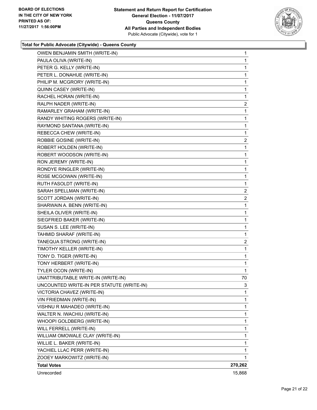

| OWEN BENJAMIN SMITH (WRITE-IN)            | 1       |
|-------------------------------------------|---------|
| PAULA OLIVA (WRITE-IN)                    | 1       |
| PETER G. KELLY (WRITE-IN)                 | 1       |
| PETER L. DONAHUE (WRITE-IN)               | 1       |
| PHILIP M. MCGRORY (WRITE-IN)              | 1       |
| QUINN CASEY (WRITE-IN)                    | 1       |
| RACHEL HORAN (WRITE-IN)                   | 1       |
| RALPH NADER (WRITE-IN)                    | 2       |
| RAMARLEY GRAHAM (WRITE-IN)                | 1       |
| RANDY WHITING ROGERS (WRITE-IN)           | 1       |
| RAYMOND SANTANA (WRITE-IN)                | 1       |
| REBECCA CHEW (WRITE-IN)                   | 1       |
| ROBBIE GOSINE (WRITE-IN)                  | 2       |
| ROBERT HOLDEN (WRITE-IN)                  | 1       |
| ROBERT WOODSON (WRITE-IN)                 | 1       |
| RON JEREMY (WRITE-IN)                     | 1       |
| RONDYE RINGLER (WRITE-IN)                 | 1       |
| ROSE MCGOWAN (WRITE-IN)                   | 1       |
| RUTH FASOLDT (WRITE-IN)                   | 1       |
| SARAH SPELLMAN (WRITE-IN)                 | 2       |
| SCOTT JORDAN (WRITE-IN)                   | 2       |
| SHARWAIN A. BENN (WRITE-IN)               | 1       |
| SHEILA OLIVER (WRITE-IN)                  | 1       |
| SIEGFRIED BAKER (WRITE-IN)                | 1       |
| SUSAN S. LEE (WRITE-IN)                   | 1       |
| TAHMID SHARAF (WRITE-IN)                  | 1       |
| TANEQUA STRONG (WRITE-IN)                 | 2       |
| TIMOTHY KELLER (WRITE-IN)                 | 1       |
| TONY D. TIGER (WRITE-IN)                  | 1       |
| TONY HERBERT (WRITE-IN)                   | 1       |
| TYLER OCON (WRITE-IN)                     | 1       |
| UNATTRIBUTABLE WRITE-IN (WRITE-IN)        | 70      |
| UNCOUNTED WRITE-IN PER STATUTE (WRITE-IN) | 3       |
| VICTORIA CHAVEZ (WRITE-IN)                | 1       |
| VIN FRIEDMAN (WRITE-IN)                   | 1       |
| VISHNU R MAHADEO (WRITE-IN)               | 1       |
| WALTER N. IWACHIU (WRITE-IN)              | 1       |
| WHOOPI GOLDBERG (WRITE-IN)                | 1       |
| WILL FERRELL (WRITE-IN)                   | 1       |
| WILLIAM OMOWALE CLAY (WRITE-IN)           | 1       |
| WILLIE L. BAKER (WRITE-IN)                | 1       |
| YACHIEL LLAC PERR (WRITE-IN)              | 1       |
| ZOOEY MARKOWITZ (WRITE-IN)                | 1       |
| <b>Total Votes</b>                        | 270,262 |
| Unrecorded                                | 15,868  |